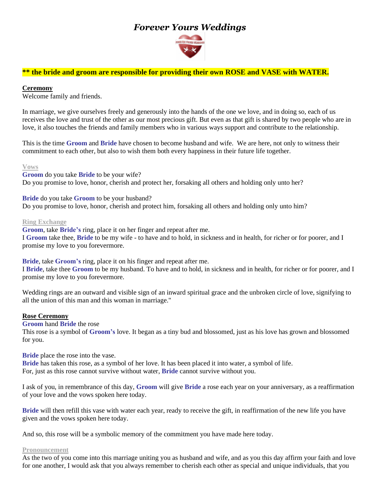# *Forever Yours Weddings*



# **\*\* the bride and groom are responsible for providing their own ROSE and VASE with WATER.**

#### **Ceremony**

Welcome family and friends.

In marriage, we give ourselves freely and generously into the hands of the one we love, and in doing so, each of us receives the love and trust of the other as our most precious gift. But even as that gift is shared by two people who are in love, it also touches the friends and family members who in various ways support and contribute to the relationship.

This is the time **Groom** and **Bride** have chosen to become husband and wife. We are here, not only to witness their commitment to each other, but also to wish them both every happiness in their future life together.

#### **Vows**

**Groom** do you take **Bride** to be your wife? Do you promise to love, honor, cherish and protect her, forsaking all others and holding only unto her?

**Bride** do you take **Groom** to be your husband? Do you promise to love, honor*,* cherish and protect him, forsaking all others and holding only unto him?

#### **Ring Exchange**

**Groom**, take **Bride's** ring, place it on her finger and repeat after me. I **Groom** take thee, **Bride** to be my wife - to have and to hold, in sickness and in health, for richer or for poorer, and I promise my love to you forevermore.

**Bride**, take **Groom's** ring, place it on his finger and repeat after me. I **Bride**, take thee **Groom** to be my husband. To have and to hold, in sickness and in health, for richer or for poorer, and I promise my love to you forevermore.

Wedding rings are an outward and visible sign of an inward spiritual grace and the unbroken circle of love, signifying to all the union of this man and this woman in marriage."

## **Rose Ceremony**

**Groom** hand **Bride** the rose This rose is a symbol of **Groom's** love. It began as a tiny bud and blossomed, just as his love has grown and blossomed for you.

**Bride** place the rose into the vase.

**Bride** has taken this rose, as a symbol of her love. It has been placed it into water, a symbol of life. For, just as this rose cannot survive without water, **Bride** cannot survive without you.

I ask of you, in remembrance of this day, **Groom** will give **Bride** a rose each year on your anniversary, as a reaffirmation of your love and the vows spoken here today.

**Bride** will then refill this vase with water each year, ready to receive the gift, in reaffirmation of the new life you have given and the vows spoken here today.

And so, this rose will be a symbolic memory of the commitment you have made here today.

## **Pronouncement**

As the two of you come into this marriage uniting you as husband and wife, and as you this day affirm your faith and love for one another, I would ask that you always remember to cherish each other as special and unique individuals, that you